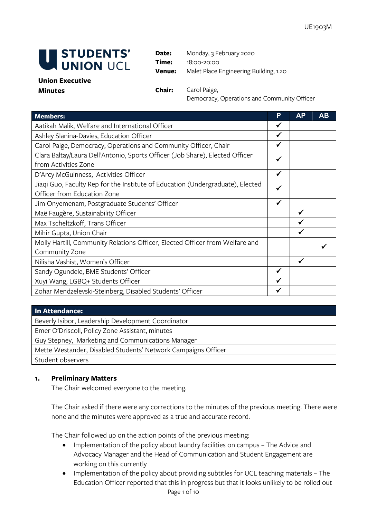

**Date:** Monday, 3 February 2020 **Time:** 18:00-20:00 **Venue:** Malet Place Engineering Building, 1.20

## **Union Executive Minutes Chair:** Carol Paige,

Democracy, Operations and Community Officer

| <b>Members:</b>                                                                | P            | <b>AP</b> | AВ |
|--------------------------------------------------------------------------------|--------------|-----------|----|
| Aatikah Malik, Welfare and International Officer                               |              |           |    |
| Ashley Slanina-Davies, Education Officer                                       |              |           |    |
| Carol Paige, Democracy, Operations and Community Officer, Chair                | ✔            |           |    |
| Clara Baltay/Laura Dell'Antonio, Sports Officer (Job Share), Elected Officer   |              |           |    |
| from Activities Zone                                                           |              |           |    |
| D'Arcy McGuinness, Activities Officer                                          | ✓            |           |    |
| Jiaqi Guo, Faculty Rep for the Institute of Education (Undergraduate), Elected | ✔            |           |    |
| Officer from Education Zone                                                    |              |           |    |
| Jim Onyemenam, Postgraduate Students' Officer                                  | $\checkmark$ |           |    |
| Maë Faugère, Sustainability Officer                                            |              | ✓         |    |
| Max Tscheltzkoff, Trans Officer                                                |              | ✔         |    |
| Mihir Gupta, Union Chair                                                       |              | ✓         |    |
| Molly Hartill, Community Relations Officer, Elected Officer from Welfare and   |              |           |    |
| Community Zone                                                                 |              |           |    |
| Nilisha Vashist, Women's Officer                                               |              | ✔         |    |
| Sandy Ogundele, BME Students' Officer                                          |              |           |    |
| Xuyi Wang, LGBQ+ Students Officer                                              |              |           |    |
| Zohar Mendzelevski-Steinberg, Disabled Students' Officer                       |              |           |    |

## **In Attendance:**

Beverly Isibor, Leadership Development Coordinator Emer O'Driscoll, Policy Zone Assistant, minutes Guy Stepney, Marketing and Communications Manager Mette Westander, Disabled Students' Network Campaigns Officer Student observers

## **1. Preliminary Matters**

The Chair welcomed everyone to the meeting.

The Chair asked if there were any corrections to the minutes of the previous meeting. There were none and the minutes were approved as a true and accurate record.

The Chair followed up on the action points of the previous meeting:

- Implementation of the policy about laundry facilities on campus The Advice and Advocacy Manager and the Head of Communication and Student Engagement are working on this currently
- Page 1 of 10 • Implementation of the policy about providing subtitles for UCL teaching materials – The Education Officer reported that this in progress but that it looks unlikely to be rolled out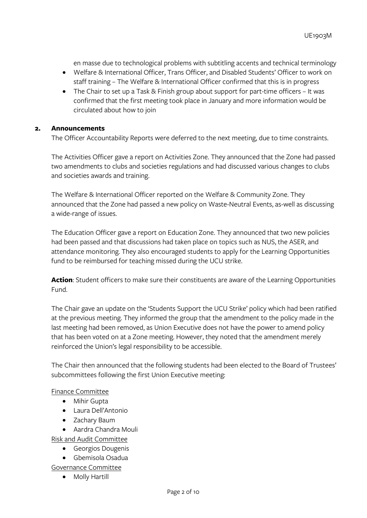en masse due to technological problems with subtitling accents and technical terminology

- Welfare & International Officer, Trans Officer, and Disabled Students' Officer to work on staff training – The Welfare & International Officer confirmed that this is in progress
- The Chair to set up a Task & Finish group about support for part-time officers It was confirmed that the first meeting took place in January and more information would be circulated about how to join

# **2. Announcements**

The Officer Accountability Reports were deferred to the next meeting, due to time constraints.

The Activities Officer gave a report on Activities Zone. They announced that the Zone had passed two amendments to clubs and societies regulations and had discussed various changes to clubs and societies awards and training.

The Welfare & International Officer reported on the Welfare & Community Zone. They announced that the Zone had passed a new policy on Waste-Neutral Events, as-well as discussing a wide-range of issues.

The Education Officer gave a report on Education Zone. They announced that two new policies had been passed and that discussions had taken place on topics such as NUS, the ASER, and attendance monitoring. They also encouraged students to apply for the Learning Opportunities fund to be reimbursed for teaching missed during the UCU strike.

**Action**: Student officers to make sure their constituents are aware of the Learning Opportunities Fund.

The Chair gave an update on the 'Students Support the UCU Strike' policy which had been ratified at the previous meeting. They informed the group that the amendment to the policy made in the last meeting had been removed, as Union Executive does not have the power to amend policy that has been voted on at a Zone meeting. However, they noted that the amendment merely reinforced the Union's legal responsibility to be accessible.

The Chair then announced that the following students had been elected to the Board of Trustees' subcommittees following the first Union Executive meeting:

## Finance Committee

- Mihir Gupta
- Laura Dell'Antonio
- Zachary Baum
- Aardra Chandra Mouli

Risk and Audit Committee

- Georgios Dougenis
- Gbemisola Osadua

Governance Committee

• Molly Hartill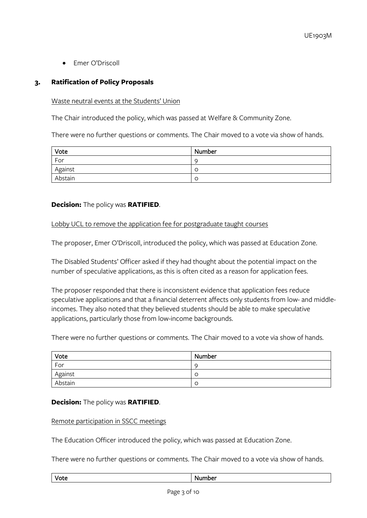• Emer O'Driscoll

# **3. Ratification of Policy Proposals**

## Waste neutral events at the Students' Union

The Chair introduced the policy, which was passed at Welfare & Community Zone.

There were no further questions or comments. The Chair moved to a vote via show of hands.

| Vote    | Number |
|---------|--------|
| For     | - C    |
| Against |        |
| Abstain |        |

# **Decision:** The policy was **RATIFIED**.

## Lobby UCL to remove the application fee for postgraduate taught courses

The proposer, Emer O'Driscoll, introduced the policy, which was passed at Education Zone.

The Disabled Students' Officer asked if they had thought about the potential impact on the number of speculative applications, as this is often cited as a reason for application fees.

The proposer responded that there is inconsistent evidence that application fees reduce speculative applications and that a financial deterrent affects only students from low- and middleincomes. They also noted that they believed students should be able to make speculative applications, particularly those from low-income backgrounds.

There were no further questions or comments. The Chair moved to a vote via show of hands.

| Vote    | Number         |
|---------|----------------|
| For     | C              |
| Against | -C             |
| Abstain | <sup>-</sup> C |

#### **Decision:** The policy was **RATIFIED**.

#### Remote participation in SSCC meetings

The Education Officer introduced the policy, which was passed at Education Zone.

There were no further questions or comments. The Chair moved to a vote via show of hands.

#### Vote Number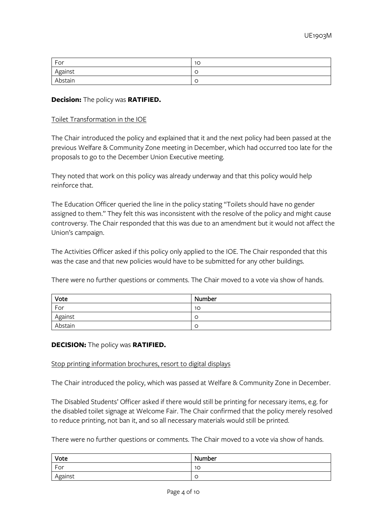| For     | 10     |
|---------|--------|
| Against | $\sim$ |
| Abstain | ╰      |

### **Decision:** The policy was **RATIFIED.**

#### Toilet Transformation in the IOE

The Chair introduced the policy and explained that it and the next policy had been passed at the previous Welfare & Community Zone meeting in December, which had occurred too late for the proposals to go to the December Union Executive meeting.

They noted that work on this policy was already underway and that this policy would help reinforce that.

The Education Officer queried the line in the policy stating "Toilets should have no gender assigned to them." They felt this was inconsistent with the resolve of the policy and might cause controversy. The Chair responded that this was due to an amendment but it would not affect the Union's campaign.

The Activities Officer asked if this policy only applied to the IOE. The Chair responded that this was the case and that new policies would have to be submitted for any other buildings.

There were no further questions or comments. The Chair moved to a vote via show of hands.

| Vote    | Number |
|---------|--------|
| For     | 10     |
| Against | ◡      |
| Abstain | ◡      |

#### **DECISION:** The policy was **RATIFIED.**

#### Stop printing information brochures, resort to digital displays

The Chair introduced the policy, which was passed at Welfare & Community Zone in December.

The Disabled Students' Officer asked if there would still be printing for necessary items, e.g. for the disabled toilet signage at Welcome Fair. The Chair confirmed that the policy merely resolved to reduce printing, not ban it, and so all necessary materials would still be printed.

There were no further questions or comments. The Chair moved to a vote via show of hands.

| Vote    | Number |
|---------|--------|
| For     | 10     |
| Against | ╰      |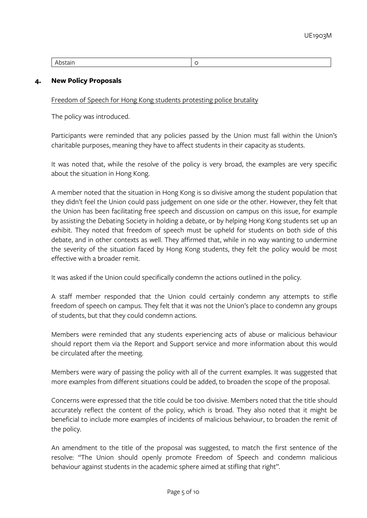|--|

## **4. New Policy Proposals**

Freedom of Speech for Hong Kong students protesting police brutality

The policy was introduced.

Participants were reminded that any policies passed by the Union must fall within the Union's charitable purposes, meaning they have to affect students in their capacity as students.

It was noted that, while the resolve of the policy is very broad, the examples are very specific about the situation in Hong Kong.

A member noted that the situation in Hong Kong is so divisive among the student population that they didn't feel the Union could pass judgement on one side or the other. However, they felt that the Union has been facilitating free speech and discussion on campus on this issue, for example by assisting the Debating Society in holding a debate, or by helping Hong Kong students set up an exhibit. They noted that freedom of speech must be upheld for students on both side of this debate, and in other contexts as well. They affirmed that, while in no way wanting to undermine the severity of the situation faced by Hong Kong students, they felt the policy would be most effective with a broader remit.

It was asked if the Union could specifically condemn the actions outlined in the policy.

A staff member responded that the Union could certainly condemn any attempts to stifle freedom of speech on campus. They felt that it was not the Union's place to condemn any groups of students, but that they could condemn actions.

Members were reminded that any students experiencing acts of abuse or malicious behaviour should report them via the Report and Support service and more information about this would be circulated after the meeting.

Members were wary of passing the policy with all of the current examples. It was suggested that more examples from different situations could be added, to broaden the scope of the proposal.

Concerns were expressed that the title could be too divisive. Members noted that the title should accurately reflect the content of the policy, which is broad. They also noted that it might be beneficial to include more examples of incidents of malicious behaviour, to broaden the remit of the policy.

An amendment to the title of the proposal was suggested, to match the first sentence of the resolve: "The Union should openly promote Freedom of Speech and condemn malicious behaviour against students in the academic sphere aimed at stifling that right".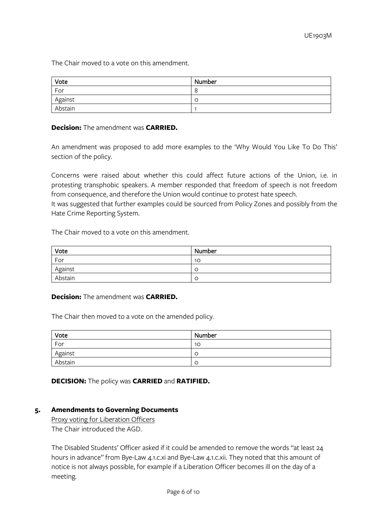The Chair moved to a vote on this amendment.

| Vote    | Number  |
|---------|---------|
| For     | $\circ$ |
| Against | C       |
| Abstain |         |

## **Decision:** The amendment was **CARRIED.**

An amendment was proposed to add more examples to the 'Why Would You Like To Do This' section of the policy.

Concerns were raised about whether this could affect future actions of the Union, i.e. in protesting transphobic speakers. A member responded that freedom of speech is not freedom from consequence, and therefore the Union would continue to protest hate speech.

It was suggested that further examples could be sourced from Policy Zones and possibly from the Hate Crime Reporting System.

The Chair moved to a vote on this amendment.

| Vote    | Number |
|---------|--------|
| For     | 10     |
| Against | ╰      |
| Abstain | ◡      |

## **Decision:** The amendment was **CARRIED.**

The Chair then moved to a vote on the amended policy.

| Vote    | Number |
|---------|--------|
| For     | 10     |
| Against | Ë      |
| Abstain | Ë      |

**DECISION:** The policy was **CARRIED** and **RATIFIED.**

#### **5. Amendments to Governing Documents**

Proxy voting for Liberation Officers The Chair introduced the AGD.

The Disabled Students' Officer asked if it could be amended to remove the words "at least 24 hours in advance" from Bye-Law 4.1.c.xi and Bye-Law 4.1.c.xii. They noted that this amount of notice is not always possible, for example if a Liberation Officer becomes ill on the day of a meeting.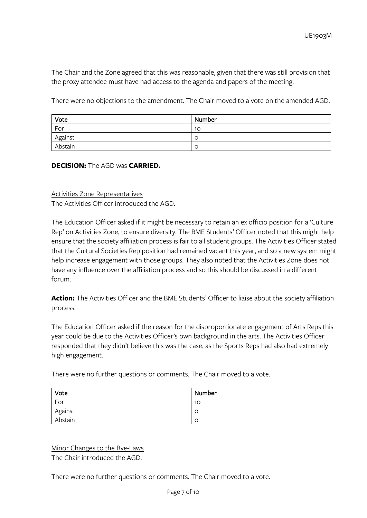The Chair and the Zone agreed that this was reasonable, given that there was still provision that the proxy attendee must have had access to the agenda and papers of the meeting.

There were no objections to the amendment. The Chair moved to a vote on the amended AGD.

| Vote    | Number |
|---------|--------|
| For     | 10     |
| Against | - C    |
| Abstain | - C    |

## **DECISION:** The AGD was **CARRIED.**

Activities Zone Representatives The Activities Officer introduced the AGD.

The Education Officer asked if it might be necessary to retain an ex officio position for a 'Culture Rep' on Activities Zone, to ensure diversity. The BME Students' Officer noted that this might help ensure that the society affiliation process is fair to all student groups. The Activities Officer stated that the Cultural Societies Rep position had remained vacant this year, and so a new system might help increase engagement with those groups. They also noted that the Activities Zone does not have any influence over the affiliation process and so this should be discussed in a different forum.

**Action:** The Activities Officer and the BME Students' Officer to liaise about the society affiliation process.

The Education Officer asked if the reason for the disproportionate engagement of Arts Reps this year could be due to the Activities Officer's own background in the arts. The Activities Officer responded that they didn't believe this was the case, as the Sports Reps had also had extremely high engagement.

There were no further questions or comments. The Chair moved to a vote.

| Vote    | Number         |
|---------|----------------|
| For     | 10             |
| Against | C.             |
| Abstain | <sup>-</sup> C |

Minor Changes to the Bye-Laws The Chair introduced the AGD.

There were no further questions or comments. The Chair moved to a vote.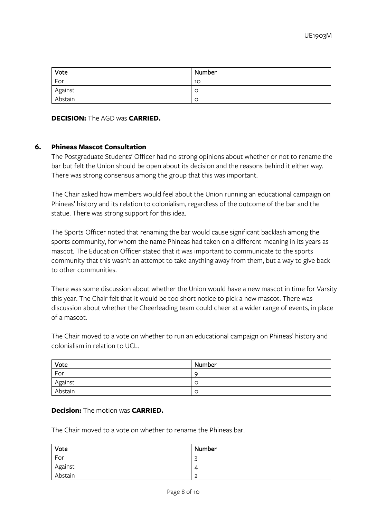| Vote    | Number |
|---------|--------|
| For     | 10     |
| Against | C      |
| Abstain | C      |

## **DECISION:** The AGD was **CARRIED.**

## **6. Phineas Mascot Consultation**

The Postgraduate Students' Officer had no strong opinions about whether or not to rename the bar but felt the Union should be open about its decision and the reasons behind it either way. There was strong consensus among the group that this was important.

The Chair asked how members would feel about the Union running an educational campaign on Phineas' history and its relation to colonialism, regardless of the outcome of the bar and the statue. There was strong support for this idea.

The Sports Officer noted that renaming the bar would cause significant backlash among the sports community, for whom the name Phineas had taken on a different meaning in its years as mascot. The Education Officer stated that it was important to communicate to the sports community that this wasn't an attempt to take anything away from them, but a way to give back to other communities.

There was some discussion about whether the Union would have a new mascot in time for Varsity this year. The Chair felt that it would be too short notice to pick a new mascot. There was discussion about whether the Cheerleading team could cheer at a wider range of events, in place of a mascot.

The Chair moved to a vote on whether to run an educational campaign on Phineas' history and colonialism in relation to UCL.

| Vote    | Number         |
|---------|----------------|
| For     | C              |
| Against | -C             |
| Abstain | <sup>-</sup> C |

### **Decision:** The motion was **CARRIED.**

The Chair moved to a vote on whether to rename the Phineas bar.

| Vote    | Number |
|---------|--------|
| For     | ∽      |
| Against | ∠      |
| Abstain | ∽<br>- |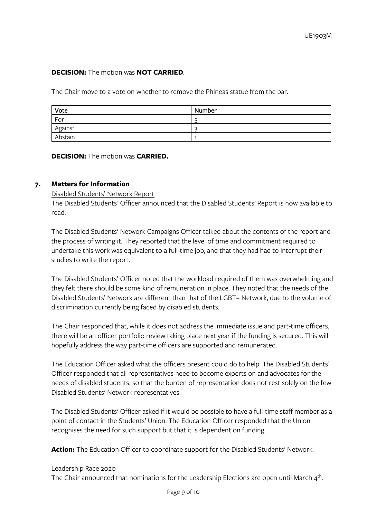# **DECISION:** The motion was **NOT CARRIED**.

The Chair move to a vote on whether to remove the Phineas statue from the bar.

| Vote    | Number |
|---------|--------|
| For     |        |
| Against | ∽      |
| Abstain |        |

**DECISION:** The motion was **CARRIED.**

## **7. Matters for Information**

## Disabled Students' Network Report

The Disabled Students' Officer announced that the Disabled Students' Report is now available to read.

The Disabled Students' Network Campaigns Officer talked about the contents of the report and the process of writing it. They reported that the level of time and commitment required to undertake this work was equivalent to a full-time job, and that they had had to interrupt their studies to write the report.

The Disabled Students' Officer noted that the workload required of them was overwhelming and they felt there should be some kind of remuneration in place. They noted that the needs of the Disabled Students' Network are different than that of the LGBT+ Network, due to the volume of discrimination currently being faced by disabled students.

The Chair responded that, while it does not address the immediate issue and part-time officers, there will be an officer portfolio review taking place next year if the funding is secured. This will hopefully address the way part-time officers are supported and remunerated.

The Education Officer asked what the officers present could do to help. The Disabled Students' Officer responded that all representatives need to become experts on and advocates for the needs of disabled students, so that the burden of representation does not rest solely on the few Disabled Students' Network representatives.

The Disabled Students' Officer asked if it would be possible to have a full-time staff member as a point of contact in the Students' Union. The Education Officer responded that the Union recognises the need for such support but that it is dependent on funding.

Action: The Education Officer to coordinate support for the Disabled Students' Network.

#### Leadership Race 2020

The Chair announced that nominations for the Leadership Elections are open until March  $4<sup>th</sup>$ .